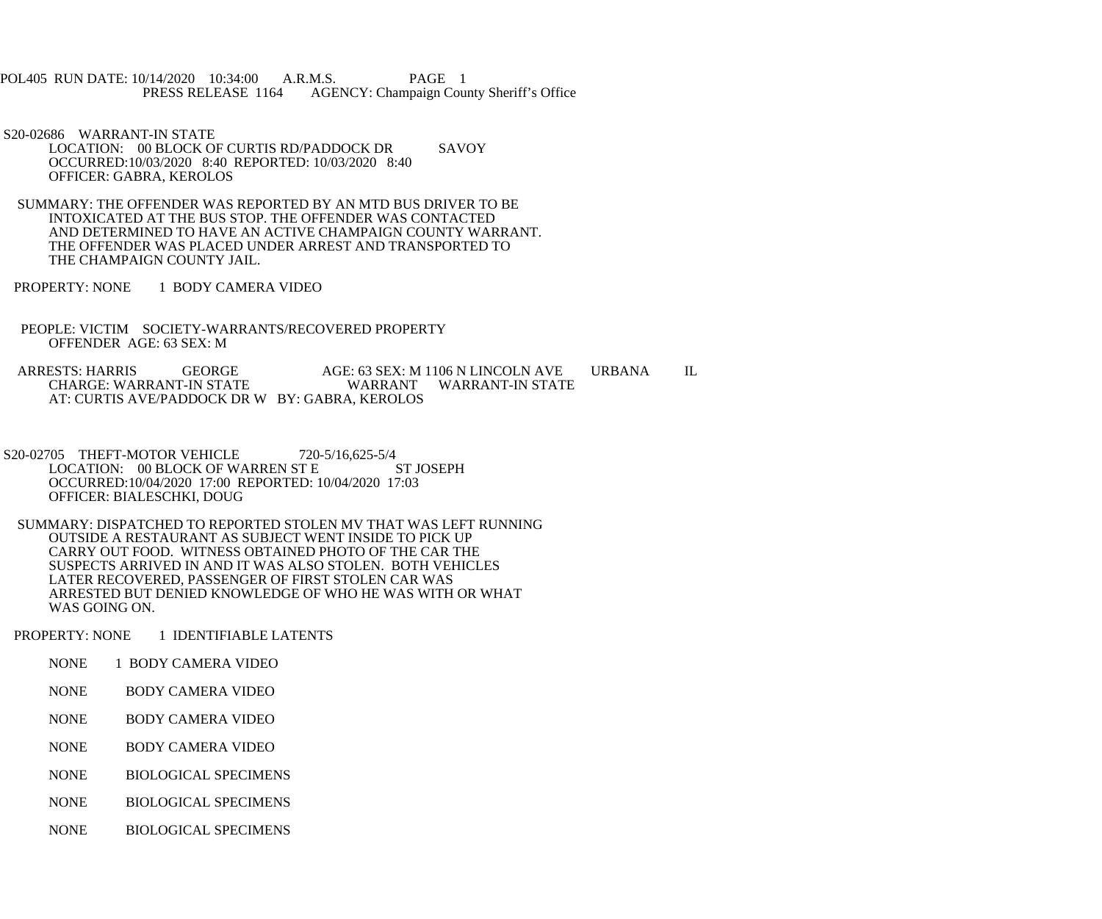POL405 RUN DATE: 10/14/2020 10:34:00 A.R.M.S. PAGE 1<br>PRESS RELEASE 1164 AGENCY: Champaign Cou AGENCY: Champaign County Sheriff's Office

 S20-02686 WARRANT-IN STATE LOCATION: 00 BLOCK OF CURTIS RD/PADDOCK DR SAVOY OCCURRED:10/03/2020 8:40 REPORTED: 10/03/2020 8:40 OFFICER: GABRA, KEROLOS

 SUMMARY: THE OFFENDER WAS REPORTED BY AN MTD BUS DRIVER TO BE INTOXICATED AT THE BUS STOP. THE OFFENDER WAS CONTACTED AND DETERMINED TO HAVE AN ACTIVE CHAMPAIGN COUNTY WARRANT. THE OFFENDER WAS PLACED UNDER ARREST AND TRANSPORTED TO THE CHAMPAIGN COUNTY JAIL.

PROPERTY: NONE 1 BODY CAMERA VIDEO

 PEOPLE: VICTIM SOCIETY-WARRANTS/RECOVERED PROPERTY OFFENDER AGE: 63 SEX: M

ARRESTS: HARRIS GEORGE AGE: 63 SEX: M 1106 N LINCOLN AVE URBANA IL CHARGE: WARRANT WARRANT WARRANT-IN STATE CHARGE: WARRANT-IN STATE AT: CURTIS AVE/PADDOCK DR W BY: GABRA, KEROLOS

S20-02705 THEFT-MOTOR VEHICLE 720-5/16,625-5/4<br>LOCATION: 00 BLOCK OF WARREN ST E ST JOSEPH LOCATION: 00 BLOCK OF WARREN ST E OCCURRED:10/04/2020 17:00 REPORTED: 10/04/2020 17:03 OFFICER: BIALESCHKI, DOUG

 SUMMARY: DISPATCHED TO REPORTED STOLEN MV THAT WAS LEFT RUNNING OUTSIDE A RESTAURANT AS SUBJECT WENT INSIDE TO PICK UP CARRY OUT FOOD. WITNESS OBTAINED PHOTO OF THE CAR THE SUSPECTS ARRIVED IN AND IT WAS ALSO STOLEN. BOTH VEHICLES LATER RECOVERED, PASSENGER OF FIRST STOLEN CAR WAS ARRESTED BUT DENIED KNOWLEDGE OF WHO HE WAS WITH OR WHAT WAS GOING ON.

PROPERTY: NONE 1 IDENTIFIABLE LATENTS

- NONE 1 BODY CAMERA VIDEO
- NONE BODY CAMERA VIDEO
- NONE BODY CAMERA VIDEO
- NONE BODY CAMERA VIDEO
- NONE BIOLOGICAL SPECIMENS
- NONE BIOLOGICAL SPECIMENS
- NONE BIOLOGICAL SPECIMENS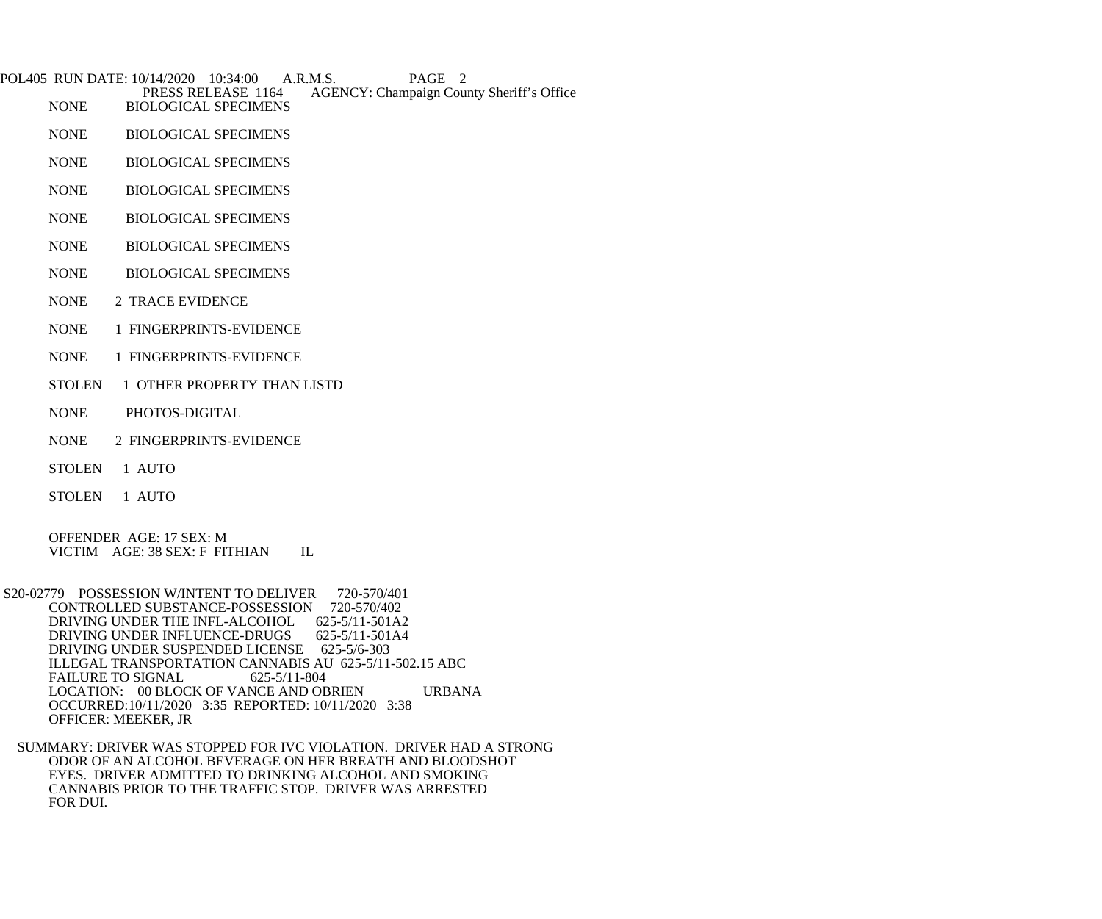POL405 RUN DATE: 10/14/2020 10:34:00 A.R.M.S. PAGE 2<br>PRESS RELEASE 1164 AGENCY: Champaign Cou PRESS RELEASE 1164 AGENCY: Champaign County Sheriff's Office<br>NONE BIOLOGICAL SPECIMENS **BIOLOGICAL SPECIMENS** 

- NONE BIOLOGICAL SPECIMENS
- NONE BIOLOGICAL SPECIMENS
- NONE BIOLOGICAL SPECIMENS
- NONE BIOLOGICAL SPECIMENS
- NONE BIOLOGICAL SPECIMENS
- NONE BIOLOGICAL SPECIMENS
- NONE 2 TRACE EVIDENCE
- NONE 1 FINGERPRINTS-EVIDENCE
- NONE 1 FINGERPRINTS-EVIDENCE
- STOLEN 1 OTHER PROPERTY THAN LISTD
- NONE PHOTOS-DIGITAL
- NONE 2 FINGERPRINTS-EVIDENCE
- STOLEN 1 AUTO
- STOLEN 1 AUTO

 OFFENDER AGE: 17 SEX: M VICTIM AGE: 38 SEX: F FITHIAN IL

S20-02779 POSSESSION W/INTENT TO DELIVER 720-570/401<br>CONTROLLED SUBSTANCE-POSSESSION 720-570/402 CONTROLLED SUBSTANCE-POSSESSION 720-570/402<br>DRIVING UNDER THE INFL-ALCOHOL 625-5/11-501A2 DRIVING UNDER THE INFL-ALCOHOL 625-5/11-501A2<br>DRIVING UNDER INFLUENCE-DRUGS 625-5/11-501A4 DRIVING UNDER INFLUENCE-DRUGS DRIVING UNDER SUSPENDED LICENSE 625-5/6-303 ILLEGAL TRANSPORTATION CANNABIS AU 625-5/11-502.15 ABC<br>FAILURE TO SIGNAL 625-5/11-804 FAILURE TO SIGNAL LOCATION: 00 BLOCK OF VANCE AND OBRIEN URBANA OCCURRED:10/11/2020 3:35 REPORTED: 10/11/2020 3:38 OFFICER: MEEKER, JR

 SUMMARY: DRIVER WAS STOPPED FOR IVC VIOLATION. DRIVER HAD A STRONG ODOR OF AN ALCOHOL BEVERAGE ON HER BREATH AND BLOODSHOT EYES. DRIVER ADMITTED TO DRINKING ALCOHOL AND SMOKING CANNABIS PRIOR TO THE TRAFFIC STOP. DRIVER WAS ARRESTED FOR DUI.